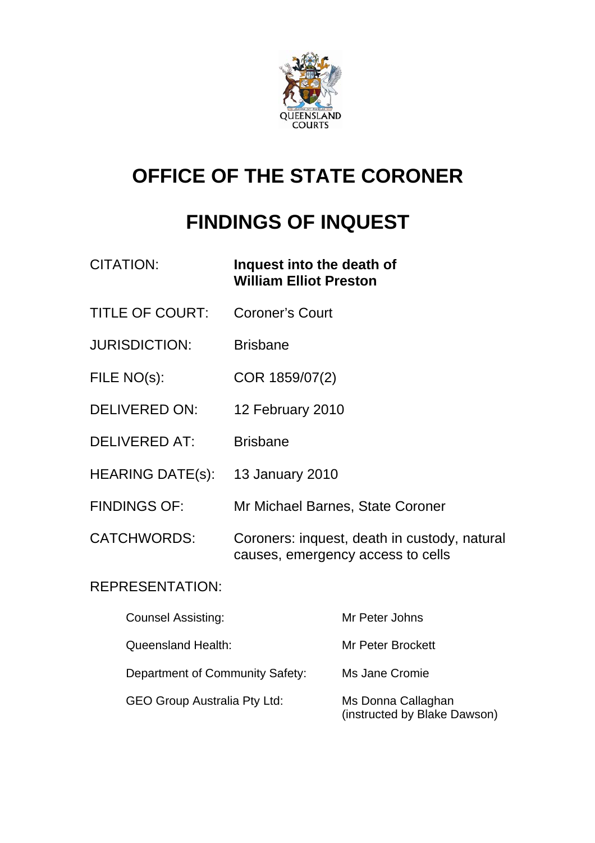

# **OFFICE OF THE STATE CORONER**

# **FINDINGS OF INQUEST**

| <b>CITATION:</b>        | Inquest into the death of<br><b>William Elliot Preston</b>                        |
|-------------------------|-----------------------------------------------------------------------------------|
| <b>TITLE OF COURT:</b>  | <b>Coroner's Court</b>                                                            |
| <b>JURISDICTION:</b>    | <b>Brisbane</b>                                                                   |
| FILE NO(s):             | COR 1859/07(2)                                                                    |
| <b>DELIVERED ON:</b>    | 12 February 2010                                                                  |
| <b>DELIVERED AT:</b>    | <b>Brisbane</b>                                                                   |
| <b>HEARING DATE(s):</b> | <b>13 January 2010</b>                                                            |
| <b>FINDINGS OF:</b>     | Mr Michael Barnes, State Coroner                                                  |
| <b>CATCHWORDS:</b>      | Coroners: inquest, death in custody, natural<br>causes, emergency access to cells |

# REPRESENTATION:

| <b>Counsel Assisting:</b>           | Mr Peter Johns                                     |
|-------------------------------------|----------------------------------------------------|
| Queensland Health:                  | Mr Peter Brockett                                  |
| Department of Community Safety:     | Ms Jane Cromie                                     |
| <b>GEO Group Australia Pty Ltd:</b> | Ms Donna Callaghan<br>(instructed by Blake Dawson) |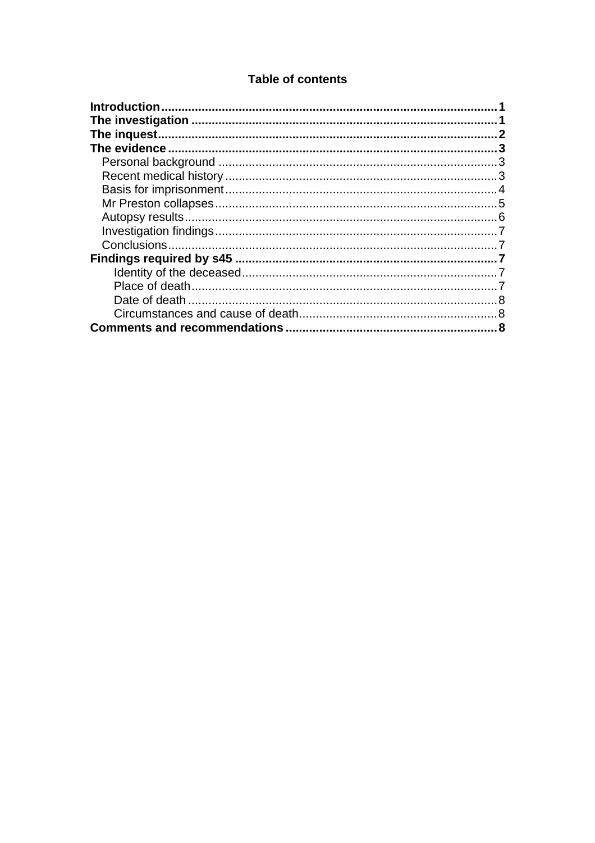## **Table of contents**

| 2 |
|---|
|   |
|   |
|   |
|   |
|   |
|   |
|   |
|   |
|   |
|   |
|   |
|   |
|   |
| 8 |
|   |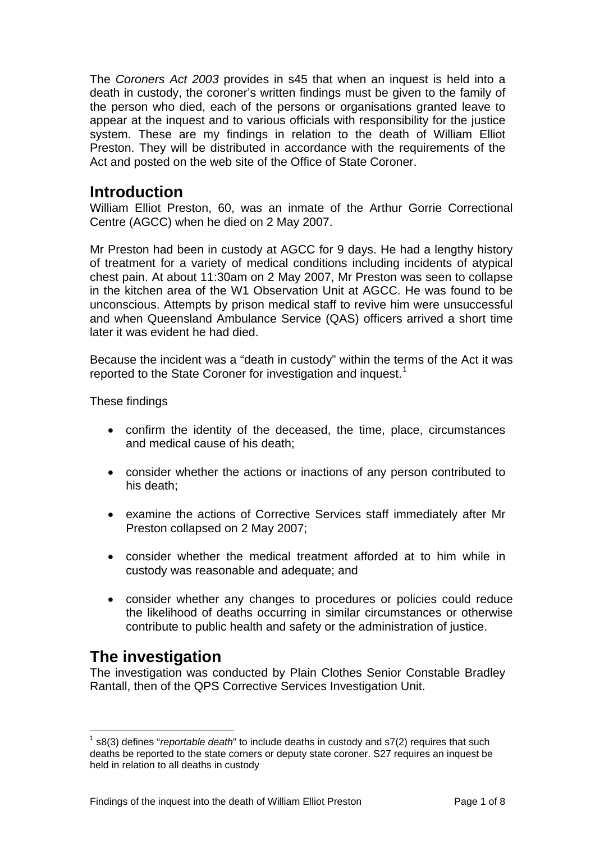<span id="page-2-0"></span>The *Coroners Act 2003* provides in s45 that when an inquest is held into a death in custody, the coroner's written findings must be given to the family of the person who died, each of the persons or organisations granted leave to appear at the inquest and to various officials with responsibility for the justice system. These are my findings in relation to the death of William Elliot Preston. They will be distributed in accordance with the requirements of the Act and posted on the web site of the Office of State Coroner.

# **Introduction**

William Elliot Preston, 60, was an inmate of the Arthur Gorrie Correctional Centre (AGCC) when he died on 2 May 2007.

Mr Preston had been in custody at AGCC for 9 days. He had a lengthy history of treatment for a variety of medical conditions including incidents of atypical chest pain. At about 11:30am on 2 May 2007, Mr Preston was seen to collapse in the kitchen area of the W1 Observation Unit at AGCC. He was found to be unconscious. Attempts by prison medical staff to revive him were unsuccessful and when Queensland Ambulance Service (QAS) officers arrived a short time later it was evident he had died.

Because the incident was a "death in custody" within the terms of the Act it was reported to the State Coroner for investigation and inquest.<sup>[1](#page-2-1)</sup>

These findings

- confirm the identity of the deceased, the time, place, circumstances and medical cause of his death;
- consider whether the actions or inactions of any person contributed to his death;
- examine the actions of Corrective Services staff immediately after Mr Preston collapsed on 2 May 2007;
- consider whether the medical treatment afforded at to him while in custody was reasonable and adequate; and
- consider whether any changes to procedures or policies could reduce the likelihood of deaths occurring in similar circumstances or otherwise contribute to public health and safety or the administration of justice.

# **The investigation**

l

The investigation was conducted by Plain Clothes Senior Constable Bradley Rantall, then of the QPS Corrective Services Investigation Unit.

<span id="page-2-1"></span><sup>1</sup> s8(3) defines "*reportable death*" to include deaths in custody and s7(2) requires that such deaths be reported to the state corners or deputy state coroner. S27 requires an inquest be held in relation to all deaths in custody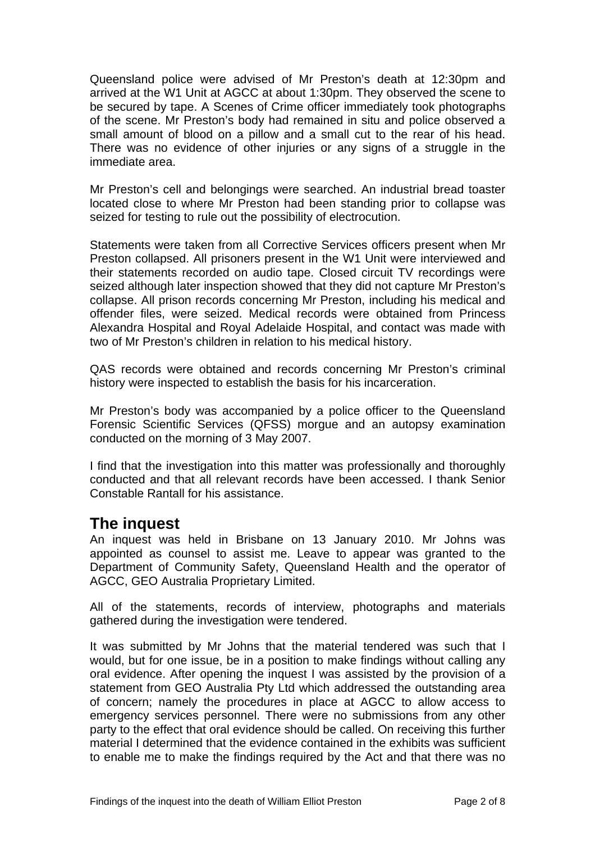<span id="page-3-0"></span>Queensland police were advised of Mr Preston's death at 12:30pm and arrived at the W1 Unit at AGCC at about 1:30pm. They observed the scene to be secured by tape. A Scenes of Crime officer immediately took photographs of the scene. Mr Preston's body had remained in situ and police observed a small amount of blood on a pillow and a small cut to the rear of his head. There was no evidence of other injuries or any signs of a struggle in the immediate area.

Mr Preston's cell and belongings were searched. An industrial bread toaster located close to where Mr Preston had been standing prior to collapse was seized for testing to rule out the possibility of electrocution.

Statements were taken from all Corrective Services officers present when Mr Preston collapsed. All prisoners present in the W1 Unit were interviewed and their statements recorded on audio tape. Closed circuit TV recordings were seized although later inspection showed that they did not capture Mr Preston's collapse. All prison records concerning Mr Preston, including his medical and offender files, were seized. Medical records were obtained from Princess Alexandra Hospital and Royal Adelaide Hospital, and contact was made with two of Mr Preston's children in relation to his medical history.

QAS records were obtained and records concerning Mr Preston's criminal history were inspected to establish the basis for his incarceration.

Mr Preston's body was accompanied by a police officer to the Queensland Forensic Scientific Services (QFSS) morgue and an autopsy examination conducted on the morning of 3 May 2007.

I find that the investigation into this matter was professionally and thoroughly conducted and that all relevant records have been accessed. I thank Senior Constable Rantall for his assistance.

# **The inquest**

An inquest was held in Brisbane on 13 January 2010. Mr Johns was appointed as counsel to assist me. Leave to appear was granted to the Department of Community Safety, Queensland Health and the operator of AGCC, GEO Australia Proprietary Limited.

All of the statements, records of interview, photographs and materials gathered during the investigation were tendered.

It was submitted by Mr Johns that the material tendered was such that I would, but for one issue, be in a position to make findings without calling any oral evidence. After opening the inquest I was assisted by the provision of a statement from GEO Australia Pty Ltd which addressed the outstanding area of concern; namely the procedures in place at AGCC to allow access to emergency services personnel. There were no submissions from any other party to the effect that oral evidence should be called. On receiving this further material I determined that the evidence contained in the exhibits was sufficient to enable me to make the findings required by the Act and that there was no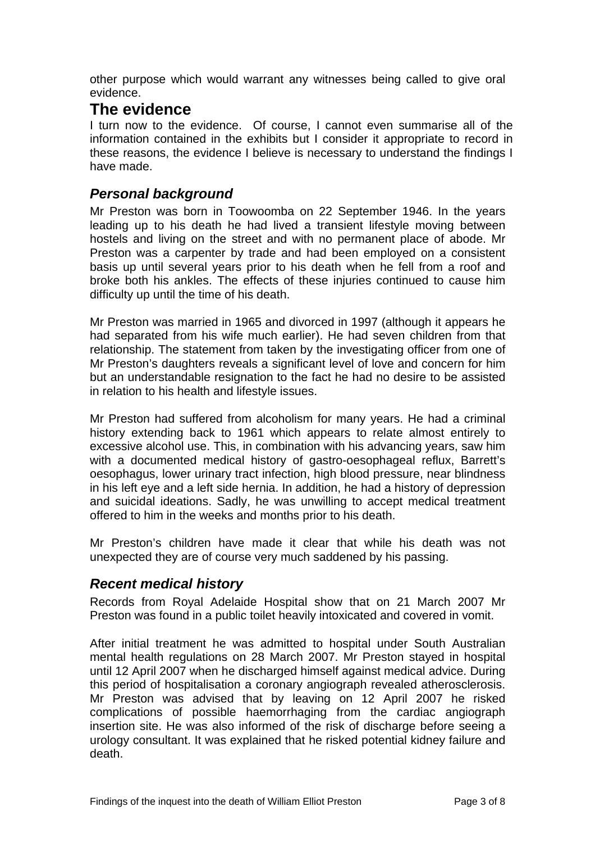<span id="page-4-0"></span>other purpose which would warrant any witnesses being called to give oral evidence.

## **The evidence**

I turn now to the evidence. Of course, I cannot even summarise all of the information contained in the exhibits but I consider it appropriate to record in these reasons, the evidence I believe is necessary to understand the findings I have made.

## *Personal background*

Mr Preston was born in Toowoomba on 22 September 1946. In the years leading up to his death he had lived a transient lifestyle moving between hostels and living on the street and with no permanent place of abode. Mr Preston was a carpenter by trade and had been employed on a consistent basis up until several years prior to his death when he fell from a roof and broke both his ankles. The effects of these injuries continued to cause him difficulty up until the time of his death.

Mr Preston was married in 1965 and divorced in 1997 (although it appears he had separated from his wife much earlier). He had seven children from that relationship. The statement from taken by the investigating officer from one of Mr Preston's daughters reveals a significant level of love and concern for him but an understandable resignation to the fact he had no desire to be assisted in relation to his health and lifestyle issues.

Mr Preston had suffered from alcoholism for many years. He had a criminal history extending back to 1961 which appears to relate almost entirely to excessive alcohol use. This, in combination with his advancing years, saw him with a documented medical history of gastro-oesophageal reflux, Barrett's oesophagus, lower urinary tract infection, high blood pressure, near blindness in his left eye and a left side hernia. In addition, he had a history of depression and suicidal ideations. Sadly, he was unwilling to accept medical treatment offered to him in the weeks and months prior to his death.

Mr Preston's children have made it clear that while his death was not unexpected they are of course very much saddened by his passing.

#### *Recent medical history*

Records from Royal Adelaide Hospital show that on 21 March 2007 Mr Preston was found in a public toilet heavily intoxicated and covered in vomit.

After initial treatment he was admitted to hospital under South Australian mental health regulations on 28 March 2007. Mr Preston stayed in hospital until 12 April 2007 when he discharged himself against medical advice. During this period of hospitalisation a coronary angiograph revealed atherosclerosis. Mr Preston was advised that by leaving on 12 April 2007 he risked complications of possible haemorrhaging from the cardiac angiograph insertion site. He was also informed of the risk of discharge before seeing a urology consultant. It was explained that he risked potential kidney failure and death.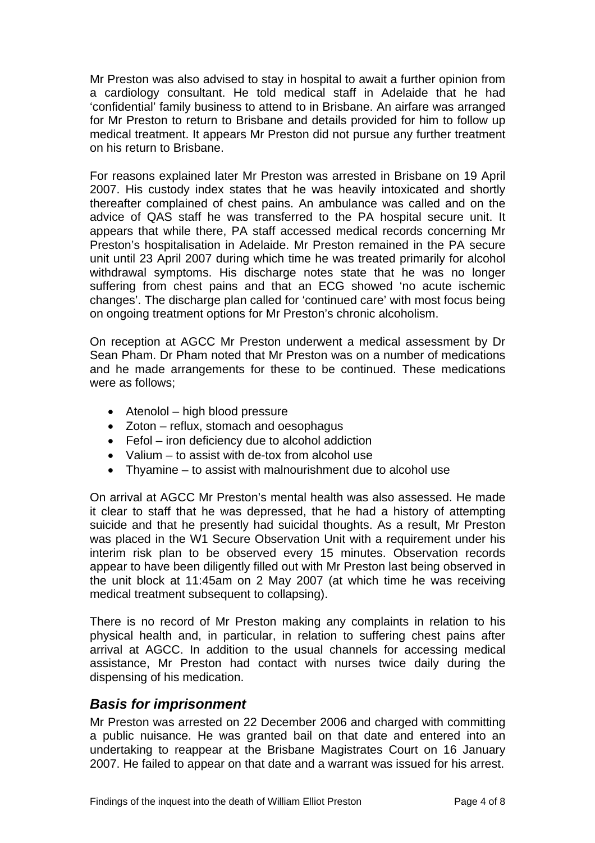<span id="page-5-0"></span>Mr Preston was also advised to stay in hospital to await a further opinion from a cardiology consultant. He told medical staff in Adelaide that he had 'confidential' family business to attend to in Brisbane. An airfare was arranged for Mr Preston to return to Brisbane and details provided for him to follow up medical treatment. It appears Mr Preston did not pursue any further treatment on his return to Brisbane.

For reasons explained later Mr Preston was arrested in Brisbane on 19 April 2007. His custody index states that he was heavily intoxicated and shortly thereafter complained of chest pains. An ambulance was called and on the advice of QAS staff he was transferred to the PA hospital secure unit. It appears that while there, PA staff accessed medical records concerning Mr Preston's hospitalisation in Adelaide. Mr Preston remained in the PA secure unit until 23 April 2007 during which time he was treated primarily for alcohol withdrawal symptoms. His discharge notes state that he was no longer suffering from chest pains and that an ECG showed 'no acute ischemic changes'. The discharge plan called for 'continued care' with most focus being on ongoing treatment options for Mr Preston's chronic alcoholism.

On reception at AGCC Mr Preston underwent a medical assessment by Dr Sean Pham. Dr Pham noted that Mr Preston was on a number of medications and he made arrangements for these to be continued. These medications were as follows;

- Atenolol high blood pressure
- Zoton reflux, stomach and oesophagus
- Fefol iron deficiency due to alcohol addiction
- Valium to assist with de-tox from alcohol use
- Thyamine to assist with malnourishment due to alcohol use

On arrival at AGCC Mr Preston's mental health was also assessed. He made it clear to staff that he was depressed, that he had a history of attempting suicide and that he presently had suicidal thoughts. As a result, Mr Preston was placed in the W1 Secure Observation Unit with a requirement under his interim risk plan to be observed every 15 minutes. Observation records appear to have been diligently filled out with Mr Preston last being observed in the unit block at 11:45am on 2 May 2007 (at which time he was receiving medical treatment subsequent to collapsing).

There is no record of Mr Preston making any complaints in relation to his physical health and, in particular, in relation to suffering chest pains after arrival at AGCC. In addition to the usual channels for accessing medical assistance, Mr Preston had contact with nurses twice daily during the dispensing of his medication.

#### *Basis for imprisonment*

Mr Preston was arrested on 22 December 2006 and charged with committing a public nuisance. He was granted bail on that date and entered into an undertaking to reappear at the Brisbane Magistrates Court on 16 January 2007. He failed to appear on that date and a warrant was issued for his arrest.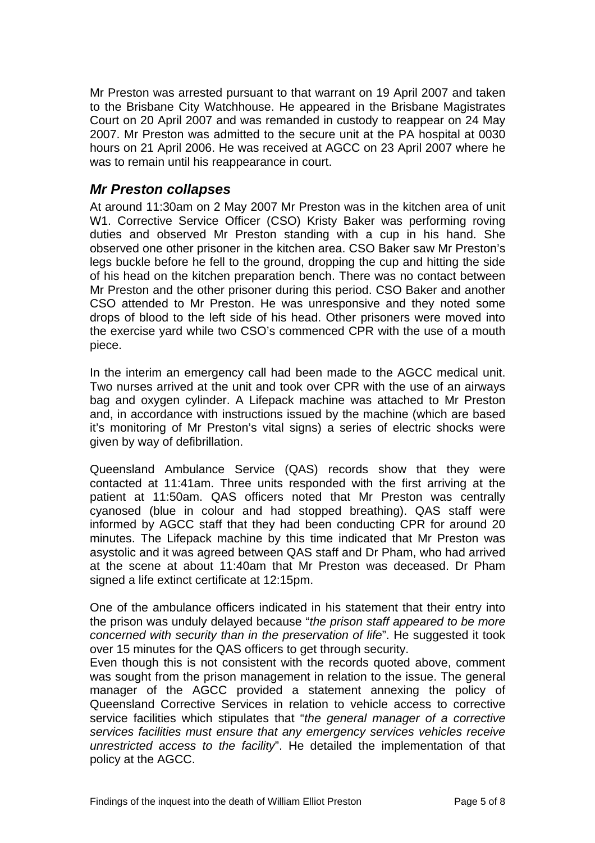<span id="page-6-0"></span>Mr Preston was arrested pursuant to that warrant on 19 April 2007 and taken to the Brisbane City Watchhouse. He appeared in the Brisbane Magistrates Court on 20 April 2007 and was remanded in custody to reappear on 24 May 2007. Mr Preston was admitted to the secure unit at the PA hospital at 0030 hours on 21 April 2006. He was received at AGCC on 23 April 2007 where he was to remain until his reappearance in court.

#### *Mr Preston collapses*

At around 11:30am on 2 May 2007 Mr Preston was in the kitchen area of unit W1. Corrective Service Officer (CSO) Kristy Baker was performing roving duties and observed Mr Preston standing with a cup in his hand. She observed one other prisoner in the kitchen area. CSO Baker saw Mr Preston's legs buckle before he fell to the ground, dropping the cup and hitting the side of his head on the kitchen preparation bench. There was no contact between Mr Preston and the other prisoner during this period. CSO Baker and another CSO attended to Mr Preston. He was unresponsive and they noted some drops of blood to the left side of his head. Other prisoners were moved into the exercise yard while two CSO's commenced CPR with the use of a mouth piece.

In the interim an emergency call had been made to the AGCC medical unit. Two nurses arrived at the unit and took over CPR with the use of an airways bag and oxygen cylinder. A Lifepack machine was attached to Mr Preston and, in accordance with instructions issued by the machine (which are based it's monitoring of Mr Preston's vital signs) a series of electric shocks were given by way of defibrillation.

Queensland Ambulance Service (QAS) records show that they were contacted at 11:41am. Three units responded with the first arriving at the patient at 11:50am. QAS officers noted that Mr Preston was centrally cyanosed (blue in colour and had stopped breathing). QAS staff were informed by AGCC staff that they had been conducting CPR for around 20 minutes. The Lifepack machine by this time indicated that Mr Preston was asystolic and it was agreed between QAS staff and Dr Pham, who had arrived at the scene at about 11:40am that Mr Preston was deceased. Dr Pham signed a life extinct certificate at 12:15pm.

One of the ambulance officers indicated in his statement that their entry into the prison was unduly delayed because "*the prison staff appeared to be more concerned with security than in the preservation of life*". He suggested it took over 15 minutes for the QAS officers to get through security.

Even though this is not consistent with the records quoted above, comment was sought from the prison management in relation to the issue. The general manager of the AGCC provided a statement annexing the policy of Queensland Corrective Services in relation to vehicle access to corrective service facilities which stipulates that "*the general manager of a corrective services facilities must ensure that any emergency services vehicles receive unrestricted access to the facility*". He detailed the implementation of that policy at the AGCC.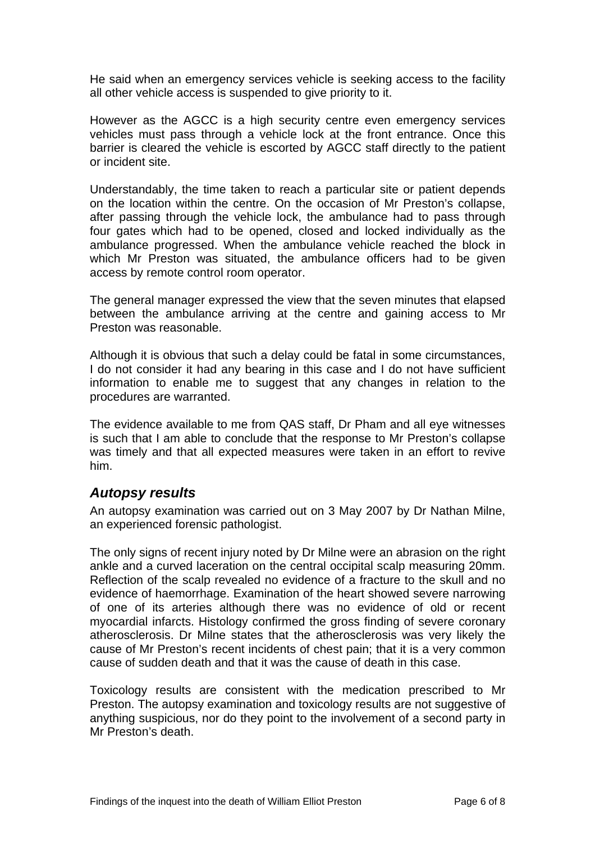<span id="page-7-0"></span>He said when an emergency services vehicle is seeking access to the facility all other vehicle access is suspended to give priority to it.

However as the AGCC is a high security centre even emergency services vehicles must pass through a vehicle lock at the front entrance. Once this barrier is cleared the vehicle is escorted by AGCC staff directly to the patient or incident site.

Understandably, the time taken to reach a particular site or patient depends on the location within the centre. On the occasion of Mr Preston's collapse, after passing through the vehicle lock, the ambulance had to pass through four gates which had to be opened, closed and locked individually as the ambulance progressed. When the ambulance vehicle reached the block in which Mr Preston was situated, the ambulance officers had to be given access by remote control room operator.

The general manager expressed the view that the seven minutes that elapsed between the ambulance arriving at the centre and gaining access to Mr Preston was reasonable.

Although it is obvious that such a delay could be fatal in some circumstances, I do not consider it had any bearing in this case and I do not have sufficient information to enable me to suggest that any changes in relation to the procedures are warranted.

The evidence available to me from QAS staff, Dr Pham and all eye witnesses is such that I am able to conclude that the response to Mr Preston's collapse was timely and that all expected measures were taken in an effort to revive him.

#### *Autopsy results*

An autopsy examination was carried out on 3 May 2007 by Dr Nathan Milne, an experienced forensic pathologist.

The only signs of recent injury noted by Dr Milne were an abrasion on the right ankle and a curved laceration on the central occipital scalp measuring 20mm. Reflection of the scalp revealed no evidence of a fracture to the skull and no evidence of haemorrhage. Examination of the heart showed severe narrowing of one of its arteries although there was no evidence of old or recent myocardial infarcts. Histology confirmed the gross finding of severe coronary atherosclerosis. Dr Milne states that the atherosclerosis was very likely the cause of Mr Preston's recent incidents of chest pain; that it is a very common cause of sudden death and that it was the cause of death in this case.

Toxicology results are consistent with the medication prescribed to Mr Preston. The autopsy examination and toxicology results are not suggestive of anything suspicious, nor do they point to the involvement of a second party in Mr Preston's death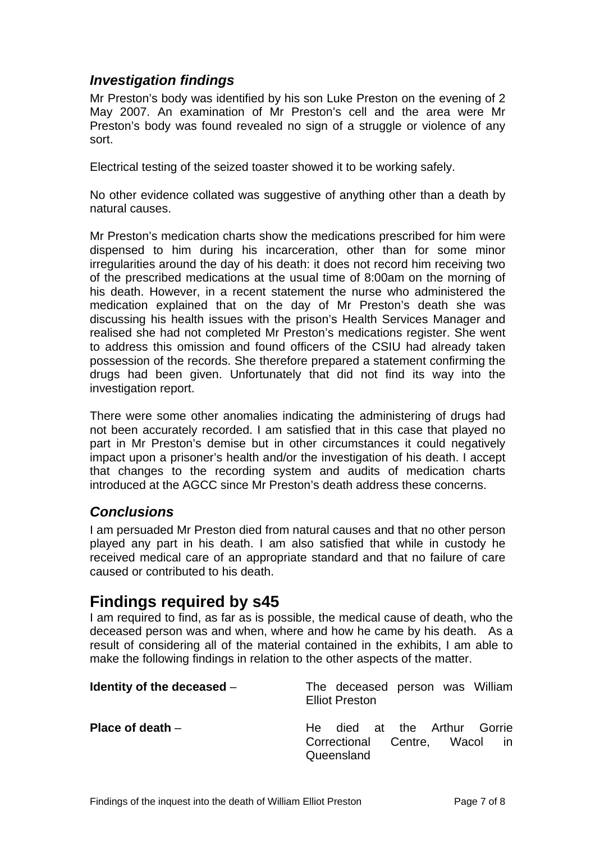## <span id="page-8-0"></span>*Investigation findings*

Mr Preston's body was identified by his son Luke Preston on the evening of 2 May 2007. An examination of Mr Preston's cell and the area were Mr Preston's body was found revealed no sign of a struggle or violence of any sort.

Electrical testing of the seized toaster showed it to be working safely.

No other evidence collated was suggestive of anything other than a death by natural causes.

Mr Preston's medication charts show the medications prescribed for him were dispensed to him during his incarceration, other than for some minor irregularities around the day of his death: it does not record him receiving two of the prescribed medications at the usual time of 8:00am on the morning of his death. However, in a recent statement the nurse who administered the medication explained that on the day of Mr Preston's death she was discussing his health issues with the prison's Health Services Manager and realised she had not completed Mr Preston's medications register. She went to address this omission and found officers of the CSIU had already taken possession of the records. She therefore prepared a statement confirming the drugs had been given. Unfortunately that did not find its way into the investigation report.

There were some other anomalies indicating the administering of drugs had not been accurately recorded. I am satisfied that in this case that played no part in Mr Preston's demise but in other circumstances it could negatively impact upon a prisoner's health and/or the investigation of his death. I accept that changes to the recording system and audits of medication charts introduced at the AGCC since Mr Preston's death address these concerns.

#### *Conclusions*

I am persuaded Mr Preston died from natural causes and that no other person played any part in his death. I am also satisfied that while in custody he received medical care of an appropriate standard and that no failure of care caused or contributed to his death.

## **Findings required by s45**

I am required to find, as far as is possible, the medical cause of death, who the deceased person was and when, where and how he came by his death. As a result of considering all of the material contained in the exhibits, I am able to make the following findings in relation to the other aspects of the matter.

| Identity of the deceased $-$ | The deceased person was William<br><b>Elliot Preston</b>                    |
|------------------------------|-----------------------------------------------------------------------------|
| Place of death $-$           | He died at the Arthur Gorrie<br>Correctional Centre, Wacol in<br>Queensland |